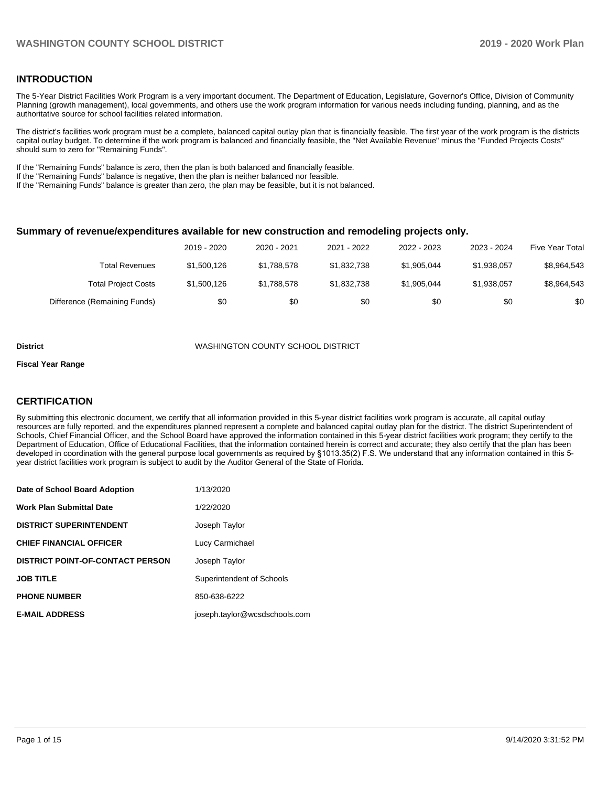## **INTRODUCTION**

The 5-Year District Facilities Work Program is a very important document. The Department of Education, Legislature, Governor's Office, Division of Community Planning (growth management), local governments, and others use the work program information for various needs including funding, planning, and as the authoritative source for school facilities related information.

The district's facilities work program must be a complete, balanced capital outlay plan that is financially feasible. The first year of the work program is the districts capital outlay budget. To determine if the work program is balanced and financially feasible, the "Net Available Revenue" minus the "Funded Projects Costs" should sum to zero for "Remaining Funds".

If the "Remaining Funds" balance is zero, then the plan is both balanced and financially feasible.

If the "Remaining Funds" balance is negative, then the plan is neither balanced nor feasible.

If the "Remaining Funds" balance is greater than zero, the plan may be feasible, but it is not balanced.

#### **Summary of revenue/expenditures available for new construction and remodeling projects only.**

|                              | 2019 - 2020 | 2020 - 2021 | 2021 - 2022 | 2022 - 2023 | 2023 - 2024 | <b>Five Year Total</b> |
|------------------------------|-------------|-------------|-------------|-------------|-------------|------------------------|
| Total Revenues               | \$1,500,126 | \$1.788.578 | \$1,832,738 | \$1,905,044 | \$1,938,057 | \$8,964,543            |
| <b>Total Project Costs</b>   | \$1,500,126 | \$1,788,578 | \$1,832,738 | \$1,905,044 | \$1,938,057 | \$8,964,543            |
| Difference (Remaining Funds) | \$0         | \$0         | \$0         | \$0         | \$0         | \$0                    |

#### **District** WASHINGTON COUNTY SCHOOL DISTRICT

#### **Fiscal Year Range**

## **CERTIFICATION**

By submitting this electronic document, we certify that all information provided in this 5-year district facilities work program is accurate, all capital outlay resources are fully reported, and the expenditures planned represent a complete and balanced capital outlay plan for the district. The district Superintendent of Schools, Chief Financial Officer, and the School Board have approved the information contained in this 5-year district facilities work program; they certify to the Department of Education, Office of Educational Facilities, that the information contained herein is correct and accurate; they also certify that the plan has been developed in coordination with the general purpose local governments as required by §1013.35(2) F.S. We understand that any information contained in this 5 year district facilities work program is subject to audit by the Auditor General of the State of Florida.

| Date of School Board Adoption           | 1/13/2020                     |
|-----------------------------------------|-------------------------------|
| <b>Work Plan Submittal Date</b>         | 1/22/2020                     |
| <b>DISTRICT SUPERINTENDENT</b>          | Joseph Taylor                 |
| <b>CHIEF FINANCIAL OFFICER</b>          | Lucy Carmichael               |
| <b>DISTRICT POINT-OF-CONTACT PERSON</b> | Joseph Taylor                 |
| <b>JOB TITLE</b>                        | Superintendent of Schools     |
| <b>PHONE NUMBER</b>                     | 850-638-6222                  |
| <b>E-MAIL ADDRESS</b>                   | joseph.taylor@wcsdschools.com |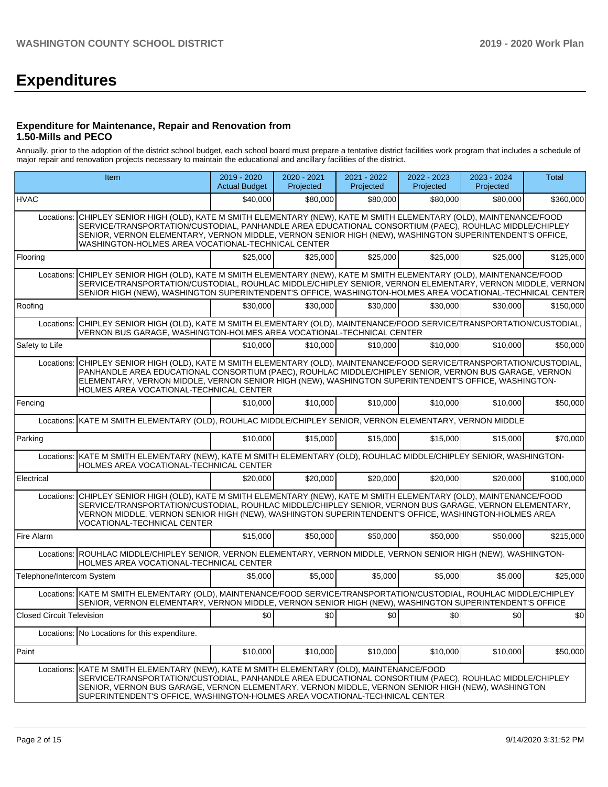# **Expenditures**

## **Expenditure for Maintenance, Repair and Renovation from 1.50-Mills and PECO**

Annually, prior to the adoption of the district school budget, each school board must prepare a tentative district facilities work program that includes a schedule of major repair and renovation projects necessary to maintain the educational and ancillary facilities of the district.

|                           | Item                                                                                                                                                                                                                                                                                                                                                                                 | 2019 - 2020<br><b>Actual Budget</b> | 2020 - 2021<br>Projected | 2021 - 2022<br>Projected | 2022 - 2023<br>Projected | 2023 - 2024<br>Projected | <b>Total</b> |
|---------------------------|--------------------------------------------------------------------------------------------------------------------------------------------------------------------------------------------------------------------------------------------------------------------------------------------------------------------------------------------------------------------------------------|-------------------------------------|--------------------------|--------------------------|--------------------------|--------------------------|--------------|
| <b>HVAC</b>               |                                                                                                                                                                                                                                                                                                                                                                                      | \$40,000                            | \$80,000                 | \$80,000                 | \$80,000                 | \$80,000                 | \$360,000    |
| Locations:                | CHIPLEY SENIOR HIGH (OLD), KATE M SMITH ELEMENTARY (NEW), KATE M SMITH ELEMENTARY (OLD), MAINTENANCE/FOOD<br>SERVICE/TRANSPORTATION/CUSTODIAL, PANHANDLE AREA EDUCATIONAL CONSORTIUM (PAEC), ROUHLAC MIDDLE/CHIPLEY<br>SENIOR, VERNON ELEMENTARY, VERNON MIDDLE, VERNON SENIOR HIGH (NEW), WASHINGTON SUPERINTENDENT'S OFFICE,<br>WASHINGTON-HOLMES AREA VOCATIONAL-TECHNICAL CENTER |                                     |                          |                          |                          |                          |              |
| Flooring                  |                                                                                                                                                                                                                                                                                                                                                                                      | \$25,000                            | \$25,000                 | \$25,000                 | \$25,000                 | \$25,000                 | \$125,000    |
| Locations:                | CHIPLEY SENIOR HIGH (OLD), KATE M SMITH ELEMENTARY (NEW), KATE M SMITH ELEMENTARY (OLD), MAINTENANCE/FOOD<br>SERVICE/TRANSPORTATION/CUSTODIAL, ROUHLAC MIDDLE/CHIPLEY SENIOR, VERNON ELEMENTARY, VERNON MIDDLE, VERNON<br>SENIOR HIGH (NEW), WASHINGTON SUPERINTENDENT'S OFFICE, WASHINGTON-HOLMES AREA VOCATIONAL-TECHNICAL CENTER                                                  |                                     |                          |                          |                          |                          |              |
| Roofing                   |                                                                                                                                                                                                                                                                                                                                                                                      | \$30,000                            | \$30,000                 | \$30,000                 | \$30,000                 | \$30,000                 | \$150,000    |
| Locations:                | CHIPLEY SENIOR HIGH (OLD), KATE M SMITH ELEMENTARY (OLD), MAINTENANCE/FOOD SERVICE/TRANSPORTATION/CUSTODIAL,<br>VERNON BUS GARAGE, WASHINGTON-HOLMES AREA VOCATIONAL-TECHNICAL CENTER                                                                                                                                                                                                |                                     |                          |                          |                          |                          |              |
| Safety to Life            |                                                                                                                                                                                                                                                                                                                                                                                      | \$10,000                            | \$10,000                 | \$10,000                 | \$10,000                 | \$10,000                 | \$50,000     |
| Locations:                | CHIPLEY SENIOR HIGH (OLD), KATE M SMITH ELEMENTARY (OLD), MAINTENANCE/FOOD SERVICE/TRANSPORTATION/CUSTODIAL,<br>PANHANDLE AREA EDUCATIONAL CONSORTIUM (PAEC), ROUHLAC MIDDLE/CHIPLEY SENIOR, VERNON BUS GARAGE, VERNON<br>ELEMENTARY, VERNON MIDDLE, VERNON SENIOR HIGH (NEW), WASHINGTON SUPERINTENDENT'S OFFICE, WASHINGTON-<br>HOLMES AREA VOCATIONAL-TECHNICAL CENTER            |                                     |                          |                          |                          |                          |              |
| Fencing                   |                                                                                                                                                                                                                                                                                                                                                                                      | \$10,000                            | \$10,000                 | \$10,000                 | \$10,000                 | \$10,000                 | \$50,000     |
|                           | Locations: KATE M SMITH ELEMENTARY (OLD), ROUHLAC MIDDLE/CHIPLEY SENIOR, VERNON ELEMENTARY, VERNON MIDDLE                                                                                                                                                                                                                                                                            |                                     |                          |                          |                          |                          |              |
| Parking                   |                                                                                                                                                                                                                                                                                                                                                                                      | \$10,000                            | \$15,000                 | \$15,000                 | \$15,000                 | \$15,000                 | \$70,000     |
|                           | Locations: KATE M SMITH ELEMENTARY (NEW), KATE M SMITH ELEMENTARY (OLD), ROUHLAC MIDDLE/CHIPLEY SENIOR, WASHINGTON-<br>HOLMES AREA VOCATIONAL-TECHNICAL CENTER                                                                                                                                                                                                                       |                                     |                          |                          |                          |                          |              |
| Electrical                |                                                                                                                                                                                                                                                                                                                                                                                      | \$20,000                            | \$20,000                 | \$20,000                 | \$20,000                 | \$20,000                 | \$100,000    |
| Locations:                | CHIPLEY SENIOR HIGH (OLD), KATE M SMITH ELEMENTARY (NEW), KATE M SMITH ELEMENTARY (OLD), MAINTENANCE/FOOD<br>SERVICE/TRANSPORTATION/CUSTODIAL, ROUHLAC MIDDLE/CHIPLEY SENIOR, VERNON BUS GARAGE, VERNON ELEMENTARY,<br>VERNON MIDDLE, VERNON SENIOR HIGH (NEW), WASHINGTON SUPERINTENDENT'S OFFICE, WASHINGTON-HOLMES AREA<br>VOCATIONAL-TECHNICAL CENTER                            |                                     |                          |                          |                          |                          |              |
| Fire Alarm                |                                                                                                                                                                                                                                                                                                                                                                                      | \$15,000                            | \$50,000                 | \$50,000                 | \$50,000                 | \$50,000                 | \$215,000    |
|                           | Locations: ROUHLAC MIDDLE/CHIPLEY SENIOR, VERNON ELEMENTARY, VERNON MIDDLE, VERNON SENIOR HIGH (NEW), WASHINGTON-<br>HOLMES AREA VOCATIONAL-TECHNICAL CENTER                                                                                                                                                                                                                         |                                     |                          |                          |                          |                          |              |
| Telephone/Intercom System |                                                                                                                                                                                                                                                                                                                                                                                      | \$5,000                             | \$5,000                  | \$5,000                  | \$5,000                  | \$5,000                  | \$25,000     |
|                           | Locations: KATE M SMITH ELEMENTARY (OLD), MAINTENANCE/FOOD SERVICE/TRANSPORTATION/CUSTODIAL, ROUHLAC MIDDLE/CHIPLEY<br>SENIOR, VERNON ELEMENTARY, VERNON MIDDLE, VERNON SENIOR HIGH (NEW), WASHINGTON SUPERINTENDENT'S OFFICE                                                                                                                                                        |                                     |                          |                          |                          |                          |              |
| Closed Circuit Television |                                                                                                                                                                                                                                                                                                                                                                                      | \$0                                 | \$o                      | \$0                      | \$0                      | \$0]                     | $ 10\rangle$ |
|                           | Locations: No Locations for this expenditure.                                                                                                                                                                                                                                                                                                                                        |                                     |                          |                          |                          |                          |              |
| Paint                     |                                                                                                                                                                                                                                                                                                                                                                                      | \$10,000                            | \$10,000                 | \$10,000                 | \$10,000                 | \$10,000                 | \$50,000     |
| Locations:                | KATE M SMITH ELEMENTARY (NEW), KATE M SMITH ELEMENTARY (OLD), MAINTENANCE/FOOD<br>SERVICE/TRANSPORTATION/CUSTODIAL, PANHANDLE AREA EDUCATIONAL CONSORTIUM (PAEC), ROUHLAC MIDDLE/CHIPLEY<br>SENIOR, VERNON BUS GARAGE, VERNON ELEMENTARY, VERNON MIDDLE, VERNON SENIOR HIGH (NEW), WASHINGTON<br>SUPERINTENDENT'S OFFICE, WASHINGTON-HOLMES AREA VOCATIONAL-TECHNICAL CENTER         |                                     |                          |                          |                          |                          |              |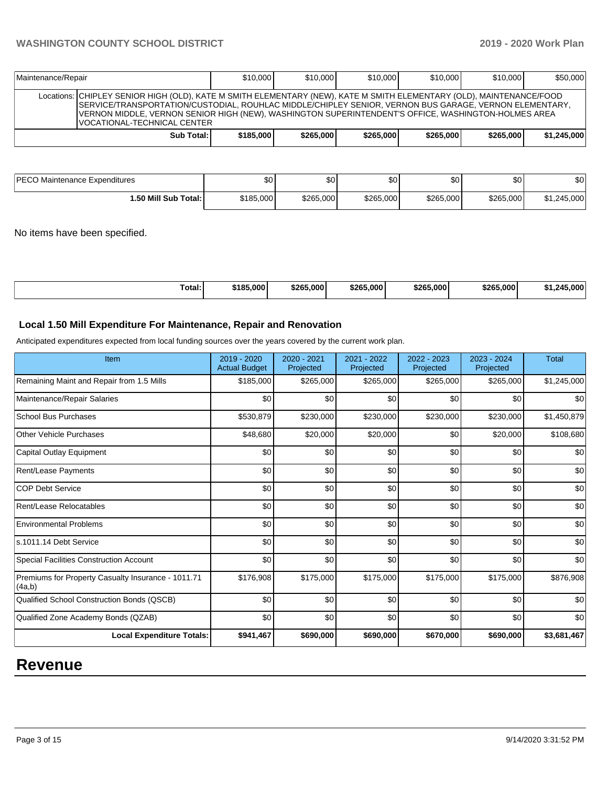| Maintenance/Repair |                                                                                                                                                                                                                                                                                                                                                                      | \$10,000  | \$10,000  | \$10,000  | \$10,000  | \$10,000  | \$50,000    |
|--------------------|----------------------------------------------------------------------------------------------------------------------------------------------------------------------------------------------------------------------------------------------------------------------------------------------------------------------------------------------------------------------|-----------|-----------|-----------|-----------|-----------|-------------|
|                    | Locations: CHIPLEY SENIOR HIGH (OLD), KATE M SMITH ELEMENTARY (NEW), KATE M SMITH ELEMENTARY (OLD), MAINTENANCE/FOOD<br>SERVICE/TRANSPORTATION/CUSTODIAL, ROUHLAC MIDDLE/CHIPLEY SENIOR, VERNON BUS GARAGE, VERNON ELEMENTARY,<br>VERNON MIDDLE, VERNON SENIOR HIGH (NEW), WASHINGTON SUPERINTENDENT'S OFFICE, WASHINGTON-HOLMES AREA<br>VOCATIONAL-TECHNICAL CENTER |           |           |           |           |           |             |
|                    | Sub Total:                                                                                                                                                                                                                                                                                                                                                           | \$185,000 | \$265,000 | \$265,000 | \$265,000 | \$265,000 | \$1,245,000 |

| PECO Maintenance Expenditures | œ۵<br>uv. | ሶ∩<br>ъU. | \$0 I     | Φn<br>Ψ∪  | ¢∩<br>υU  | \$0         |
|-------------------------------|-----------|-----------|-----------|-----------|-----------|-------------|
| 1.50 Mill Sub Total: I        | \$185,000 | \$265,000 | \$265,000 | \$265,000 | \$265,000 | \$1,245,000 |

No items have been specified.

| \$265,000<br>\$265.000<br>Total:<br>\$185,000<br>\$265,000<br>\$265.000<br>ウバ | .000' |
|-------------------------------------------------------------------------------|-------|
|-------------------------------------------------------------------------------|-------|

## **Local 1.50 Mill Expenditure For Maintenance, Repair and Renovation**

Anticipated expenditures expected from local funding sources over the years covered by the current work plan.

| Item                                                         | 2019 - 2020<br><b>Actual Budget</b> | 2020 - 2021<br>Projected | 2021 - 2022<br>Projected | 2022 - 2023<br>Projected | 2023 - 2024<br>Projected | <b>Total</b> |
|--------------------------------------------------------------|-------------------------------------|--------------------------|--------------------------|--------------------------|--------------------------|--------------|
| Remaining Maint and Repair from 1.5 Mills                    | \$185,000                           | \$265,000                | \$265,000                | \$265,000                | \$265,000                | \$1,245,000  |
| Maintenance/Repair Salaries                                  | \$0                                 | \$0                      | \$0                      | \$0                      | \$0                      | \$0          |
| School Bus Purchases                                         | \$530,879                           | \$230,000                | \$230,000                | \$230,000                | \$230,000                | \$1,450,879  |
| <b>Other Vehicle Purchases</b>                               | \$48,680                            | \$20,000                 | \$20,000                 | \$0                      | \$20,000                 | \$108,680    |
| Capital Outlay Equipment                                     | \$0                                 | \$0                      | \$0                      | \$0                      | \$0                      | \$0          |
| <b>Rent/Lease Payments</b>                                   | \$0                                 | \$0                      | \$0                      | \$0                      | \$0                      | \$0          |
| <b>COP Debt Service</b>                                      | \$0                                 | \$0                      | \$0                      | \$0                      | \$0                      | \$0          |
| Rent/Lease Relocatables                                      | \$0                                 | \$0                      | \$0                      | \$0                      | \$0                      | \$0          |
| <b>Environmental Problems</b>                                | \$0                                 | \$0                      | \$0                      | \$0                      | \$0                      | \$0          |
| s.1011.14 Debt Service                                       | \$0                                 | \$0                      | \$0                      | \$0                      | \$0                      | \$0          |
| Special Facilities Construction Account                      | \$0                                 | \$0                      | \$0                      | \$0                      | \$0                      | \$0          |
| Premiums for Property Casualty Insurance - 1011.71<br>(4a,b) | \$176,908                           | \$175,000                | \$175,000                | \$175,000                | \$175,000                | \$876,908    |
| Qualified School Construction Bonds (QSCB)                   | \$0                                 | \$0                      | \$0                      | \$0                      | \$0                      | \$0          |
| Qualified Zone Academy Bonds (QZAB)                          | \$0                                 | \$0                      | \$0                      | \$0                      | \$0                      | \$0          |
| <b>Local Expenditure Totals:</b>                             | \$941,467                           | \$690,000                | \$690,000                | \$670,000                | \$690,000                | \$3,681,467  |

## **Revenue**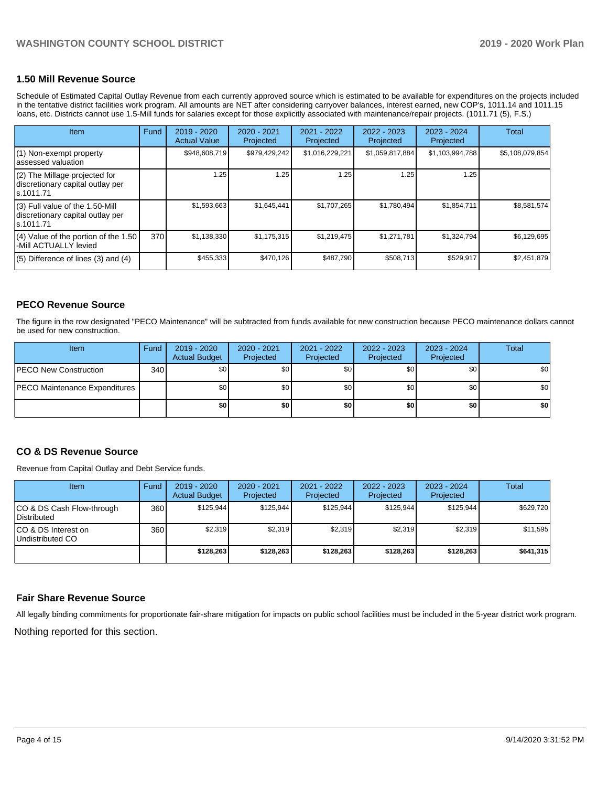## **1.50 Mill Revenue Source**

Schedule of Estimated Capital Outlay Revenue from each currently approved source which is estimated to be available for expenditures on the projects included in the tentative district facilities work program. All amounts are NET after considering carryover balances, interest earned, new COP's, 1011.14 and 1011.15 loans, etc. Districts cannot use 1.5-Mill funds for salaries except for those explicitly associated with maintenance/repair projects. (1011.71 (5), F.S.)

| Item                                                                                | <b>Fund</b> | 2019 - 2020<br><b>Actual Value</b> | $2020 - 2021$<br>Projected | 2021 - 2022<br>Projected | $2022 - 2023$<br>Projected | $2023 - 2024$<br>Projected | Total           |
|-------------------------------------------------------------------------------------|-------------|------------------------------------|----------------------------|--------------------------|----------------------------|----------------------------|-----------------|
| (1) Non-exempt property<br>lassessed valuation                                      |             | \$948,608,719                      | \$979,429,242              | \$1,016,229,221          | \$1,059,817,884            | \$1,103,994,788            | \$5,108,079,854 |
| $(2)$ The Millage projected for<br>discretionary capital outlay per<br>ls.1011.71   |             | 1.25                               | 1.25                       | 1.25                     | 1.25                       | 1.25                       |                 |
| $(3)$ Full value of the 1.50-Mill<br>discretionary capital outlay per<br>ls.1011.71 |             | \$1,593,663                        | \$1,645,441                | \$1,707,265              | \$1,780,494                | \$1,854,711                | \$8,581,574     |
| $(4)$ Value of the portion of the 1.50<br>-Mill ACTUALLY levied                     | 370         | \$1,138,330                        | \$1,175,315                | \$1,219,475              | \$1,271,781                | \$1,324,794                | \$6,129,695     |
| $(5)$ Difference of lines $(3)$ and $(4)$                                           |             | \$455,333                          | \$470,126                  | \$487,790                | \$508,713                  | \$529,917                  | \$2,451,879     |

## **PECO Revenue Source**

The figure in the row designated "PECO Maintenance" will be subtracted from funds available for new construction because PECO maintenance dollars cannot be used for new construction.

| <b>Item</b>                          | Fund | 2019 - 2020<br><b>Actual Budget</b> | 2020 - 2021<br>Projected | 2021 - 2022<br>Projected | $2022 - 2023$<br>Projected | 2023 - 2024<br>Projected | <b>Total</b> |
|--------------------------------------|------|-------------------------------------|--------------------------|--------------------------|----------------------------|--------------------------|--------------|
| <b>IPECO New Construction</b>        | 340  | \$0                                 | \$0                      | \$0                      | \$0                        | \$0                      | \$0          |
| <b>PECO Maintenance Expenditures</b> |      | \$0                                 | \$0                      | \$0                      | \$0                        | \$0 <sub>1</sub>         | \$0          |
|                                      |      | \$0                                 | \$0                      | \$0                      | \$0                        | \$0                      | \$0          |

## **CO & DS Revenue Source**

Revenue from Capital Outlay and Debt Service funds.

| Item                                     | Fund  | $2019 - 2020$<br><b>Actual Budget</b> | 2020 - 2021<br>Projected | 2021 - 2022<br>Projected | $2022 - 2023$<br>Projected | $2023 - 2024$<br>Projected | Total     |
|------------------------------------------|-------|---------------------------------------|--------------------------|--------------------------|----------------------------|----------------------------|-----------|
| CO & DS Cash Flow-through<br>Distributed | 360 l | \$125.944                             | \$125.944                | \$125.944                | \$125.944                  | \$125.944                  | \$629,720 |
| ICO & DS Interest on<br>Undistributed CO | 360 l | \$2,319                               | \$2,319                  | \$2,319                  | \$2,319                    | \$2,319                    | \$11,595  |
|                                          |       | \$128.263                             | \$128.263                | \$128,263                | \$128.263                  | \$128.263                  | \$641,315 |

## **Fair Share Revenue Source**

All legally binding commitments for proportionate fair-share mitigation for impacts on public school facilities must be included in the 5-year district work program.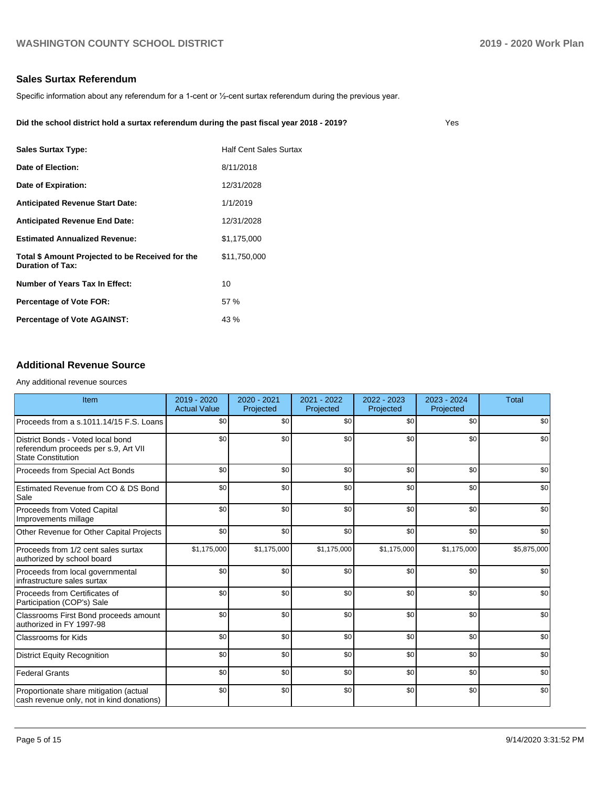Yes

## **Sales Surtax Referendum**

Specific information about any referendum for a 1-cent or ½-cent surtax referendum during the previous year.

| Did the school district hold a surtax referendum during the past fiscal year 2018 - 2019? |  |
|-------------------------------------------------------------------------------------------|--|
|                                                                                           |  |

| <b>Sales Surtax Type:</b>                                                   | <b>Half Cent Sales Surtax</b> |
|-----------------------------------------------------------------------------|-------------------------------|
| Date of Election:                                                           | 8/11/2018                     |
| Date of Expiration:                                                         | 12/31/2028                    |
| <b>Anticipated Revenue Start Date:</b>                                      | 1/1/2019                      |
| <b>Anticipated Revenue End Date:</b>                                        | 12/31/2028                    |
| <b>Estimated Annualized Revenue:</b>                                        | \$1,175,000                   |
| Total \$ Amount Projected to be Received for the<br><b>Duration of Tax:</b> | \$11,750,000                  |
| <b>Number of Years Tax In Effect:</b>                                       | 10                            |
| <b>Percentage of Vote FOR:</b>                                              | 57 %                          |
| <b>Percentage of Vote AGAINST:</b>                                          | 43 %                          |
|                                                                             |                               |

## **Additional Revenue Source**

Any additional revenue sources

| Item                                                                                                   | 2019 - 2020<br><b>Actual Value</b> | 2020 - 2021<br>Projected | 2021 - 2022<br>Projected | 2022 - 2023<br>Projected | 2023 - 2024<br>Projected | <b>Total</b> |
|--------------------------------------------------------------------------------------------------------|------------------------------------|--------------------------|--------------------------|--------------------------|--------------------------|--------------|
| Proceeds from a s.1011.14/15 F.S. Loans                                                                | \$0                                | \$0                      | \$0                      | \$0                      | \$0                      | \$0          |
| District Bonds - Voted local bond<br>referendum proceeds per s.9, Art VII<br><b>State Constitution</b> | \$0                                | \$0                      | \$0                      | \$0                      | \$0                      | \$0          |
| Proceeds from Special Act Bonds                                                                        | \$0                                | \$0                      | \$0                      | \$0                      | \$0                      | \$0          |
| Estimated Revenue from CO & DS Bond<br>Sale                                                            | \$0                                | \$0                      | \$0                      | \$0                      | \$0                      | \$0          |
| Proceeds from Voted Capital<br>Improvements millage                                                    | \$0                                | \$0                      | \$0                      | \$0                      | \$0                      | \$0          |
| Other Revenue for Other Capital Projects                                                               | \$0                                | \$0                      | \$0                      | \$0                      | \$0                      | \$0          |
| Proceeds from 1/2 cent sales surtax<br>authorized by school board                                      | \$1,175,000                        | \$1,175,000              | \$1,175,000              | \$1,175,000              | \$1,175,000              | \$5,875,000  |
| Proceeds from local governmental<br>infrastructure sales surtax                                        | \$0                                | \$0                      | \$0                      | \$0                      | \$0                      | \$0          |
| Proceeds from Certificates of<br>Participation (COP's) Sale                                            | \$0                                | \$0                      | \$0                      | \$0                      | \$0                      | \$0          |
| Classrooms First Bond proceeds amount<br>authorized in FY 1997-98                                      | \$0                                | \$0                      | \$0                      | \$0                      | \$0                      | \$0          |
| <b>Classrooms for Kids</b>                                                                             | \$0                                | \$0                      | \$0                      | \$0                      | \$0                      | \$0          |
| <b>District Equity Recognition</b>                                                                     | \$0                                | \$0                      | \$0                      | \$0                      | \$0                      | \$0          |
| <b>Federal Grants</b>                                                                                  | \$0                                | \$0                      | \$0                      | \$0                      | \$0                      | \$0          |
| Proportionate share mitigation (actual<br>cash revenue only, not in kind donations)                    | \$0                                | \$0                      | \$0                      | \$0                      | \$0                      | \$0          |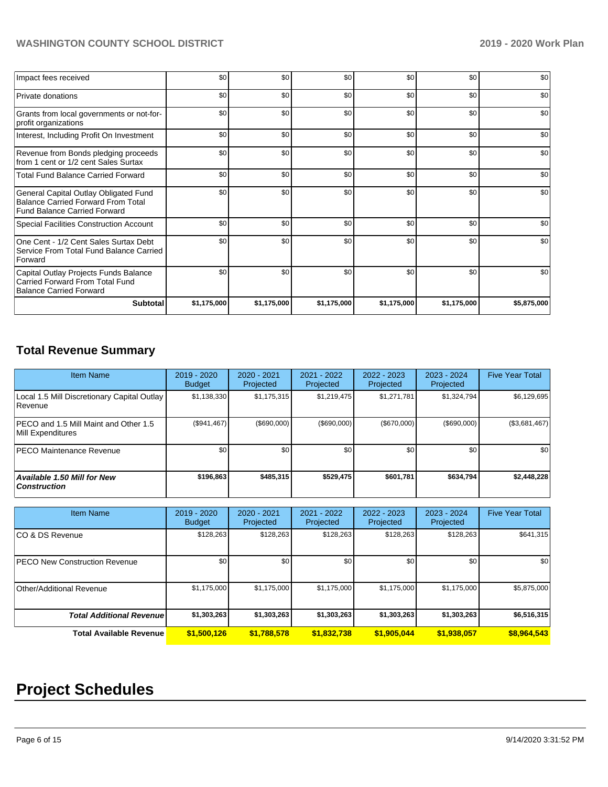| Impact fees received                                                                                                      | \$0         | \$0         | \$0         | \$0         | \$0         | \$0         |
|---------------------------------------------------------------------------------------------------------------------------|-------------|-------------|-------------|-------------|-------------|-------------|
| Private donations                                                                                                         | \$0         | \$0         | \$0         | \$0         | \$0         | \$0         |
| Grants from local governments or not-for-<br>profit organizations                                                         | \$0         | \$0         | \$0         | \$0         | \$0         | \$0         |
| Interest, Including Profit On Investment                                                                                  | \$0         | \$0         | \$0         | \$0         | \$0         | \$0         |
| Revenue from Bonds pledging proceeds<br>from 1 cent or 1/2 cent Sales Surtax                                              | \$0         | \$0         | \$0         | \$0         | \$0         | \$0         |
| <b>Total Fund Balance Carried Forward</b>                                                                                 | \$0         | \$0         | \$0         | \$0         | \$0         | \$0         |
| General Capital Outlay Obligated Fund<br><b>Balance Carried Forward From Total</b><br><b>Fund Balance Carried Forward</b> | \$0         | \$0         | \$0         | \$0         | \$0         | \$0         |
| Special Facilities Construction Account                                                                                   | \$0         | \$0         | \$0         | \$0         | \$0         | \$0         |
| One Cent - 1/2 Cent Sales Surtax Debt<br>Service From Total Fund Balance Carried<br>Forward                               | \$0         | \$0         | \$0         | \$0         | \$0         | \$0         |
| Capital Outlay Projects Funds Balance<br>Carried Forward From Total Fund<br><b>Balance Carried Forward</b>                | \$0         | \$0         | \$0         | \$0         | \$0         | \$0         |
| <b>Subtotal</b>                                                                                                           | \$1,175,000 | \$1,175,000 | \$1,175,000 | \$1,175,000 | \$1,175,000 | \$5,875,000 |

## **Total Revenue Summary**

| Item Name                                                     | $2019 - 2020$<br><b>Budget</b> | $2020 - 2021$<br>Projected | 2021 - 2022<br>Projected | 2022 - 2023<br>Projected | $2023 - 2024$<br>Projected | <b>Five Year Total</b> |
|---------------------------------------------------------------|--------------------------------|----------------------------|--------------------------|--------------------------|----------------------------|------------------------|
| Local 1.5 Mill Discretionary Capital Outlay<br><b>Revenue</b> | \$1,138,330                    | \$1,175,315                | \$1,219,475              | \$1,271,781              | \$1,324,794                | \$6,129,695            |
| PECO and 1.5 Mill Maint and Other 1.5<br>Mill Expenditures    | (\$941,467)                    | (\$690,000)                | (\$690,000)              | (\$670,000)              | $($ \$690,000)             | (\$3,681,467)          |
| <b>IPECO Maintenance Revenue</b>                              | \$0 <sub>1</sub>               | \$0                        | \$0                      | \$0                      | \$0                        | \$0                    |
| Available 1.50 Mill for New<br><b>Construction</b>            | \$196,863                      | \$485,315                  | \$529.475                | \$601.781                | \$634,794                  | \$2,448,228            |

| <b>Item Name</b>                      | 2019 - 2020<br><b>Budget</b> | $2020 - 2021$<br>Projected | 2021 - 2022<br>Projected | 2022 - 2023<br>Projected | 2023 - 2024<br>Projected | <b>Five Year Total</b> |
|---------------------------------------|------------------------------|----------------------------|--------------------------|--------------------------|--------------------------|------------------------|
| ICO & DS Revenue                      | \$128,263                    | \$128,263                  | \$128.263                | \$128,263                | \$128,263                | \$641,315              |
| <b>IPECO New Construction Revenue</b> | \$0                          | \$0                        | \$0                      | \$0                      | \$0                      | \$0                    |
| Other/Additional Revenue              | \$1,175,000                  | \$1,175,000                | \$1,175,000              | \$1,175,000              | \$1,175,000              | \$5,875,000            |
| <b>Total Additional Revenue</b>       | \$1,303,263                  | \$1,303,263                | \$1,303,263              | \$1,303,263              | \$1,303,263              | \$6,516,315            |
| <b>Total Available Revenue</b>        | \$1,500,126                  | \$1,788,578                | \$1,832,738              | \$1,905,044              | \$1,938,057              | \$8,964,543            |

# **Project Schedules**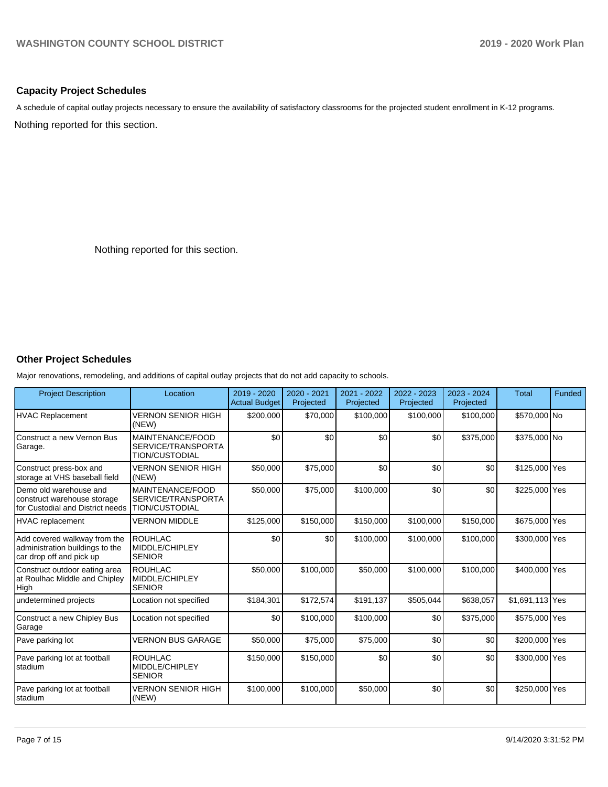## **Capacity Project Schedules**

A schedule of capital outlay projects necessary to ensure the availability of satisfactory classrooms for the projected student enrollment in K-12 programs.

Nothing reported for this section.

Nothing reported for this section.

## **Other Project Schedules**

Major renovations, remodeling, and additions of capital outlay projects that do not add capacity to schools.

| <b>Project Description</b>                                                                  | Location                                                        | 2019 - 2020<br><b>Actual Budget</b> | 2020 - 2021<br>Projected | 2021 - 2022<br>Projected | 2022 - 2023<br>Projected | 2023 - 2024<br>Projected | <b>Total</b>    | Funded |
|---------------------------------------------------------------------------------------------|-----------------------------------------------------------------|-------------------------------------|--------------------------|--------------------------|--------------------------|--------------------------|-----------------|--------|
| <b>HVAC Replacement</b>                                                                     | <b>VERNON SENIOR HIGH</b><br>(NEW)                              | \$200,000                           | \$70,000                 | \$100,000                | \$100,000                | \$100,000                | \$570,000 No    |        |
| Construct a new Vernon Bus<br>Garage.                                                       | MAINTENANCE/FOOD<br>SERVICE/TRANSPORTA<br><b>TION/CUSTODIAL</b> | \$0                                 | \$0                      | \$0                      | \$0                      | \$375,000                | \$375,000 No    |        |
| Construct press-box and<br>storage at VHS baseball field                                    | <b>VERNON SENIOR HIGH</b><br>(NEW)                              | \$50,000                            | \$75,000                 | \$0                      | \$0                      | \$0                      | \$125,000 Yes   |        |
| Demo old warehouse and<br>construct warehouse storage<br>for Custodial and District needs   | MAINTENANCE/FOOD<br>SERVICE/TRANSPORTA<br><b>TION/CUSTODIAL</b> | \$50,000                            | \$75,000                 | \$100,000                | \$0                      | \$0                      | \$225,000 Yes   |        |
| HVAC replacement                                                                            | <b>VERNON MIDDLE</b>                                            | \$125,000                           | \$150,000                | \$150,000                | \$100,000                | \$150,000                | \$675,000 Yes   |        |
| Add covered walkway from the<br>administration buildings to the<br>car drop off and pick up | <b>ROUHLAC</b><br>MIDDLE/CHIPLEY<br><b>SENIOR</b>               | \$0                                 | \$0                      | \$100,000                | \$100,000                | \$100,000                | \$300,000 Yes   |        |
| Construct outdoor eating area<br>at Roulhac Middle and Chipley<br>High                      | <b>ROUHLAC</b><br>MIDDLE/CHIPLEY<br><b>SENIOR</b>               | \$50,000                            | \$100,000                | \$50,000                 | \$100,000                | \$100,000                | \$400,000 Yes   |        |
| undetermined projects                                                                       | Location not specified                                          | \$184,301                           | \$172,574                | \$191.137                | \$505,044                | \$638,057                | \$1,691,113 Yes |        |
| Construct a new Chipley Bus<br>Garage                                                       | Location not specified                                          | \$0                                 | \$100,000                | \$100,000                | \$0                      | \$375,000                | \$575,000 Yes   |        |
| Pave parking lot                                                                            | <b>VERNON BUS GARAGE</b>                                        | \$50,000                            | \$75,000                 | \$75,000                 | \$0                      | \$0                      | \$200,000 Yes   |        |
| Pave parking lot at football<br>stadium                                                     | <b>ROUHLAC</b><br>MIDDLE/CHIPLEY<br><b>SENIOR</b>               | \$150,000                           | \$150,000                | \$0                      | \$0                      | \$0                      | \$300,000 Yes   |        |
| Pave parking lot at football<br>Istadium                                                    | <b>VERNON SENIOR HIGH</b><br>(NEW)                              | \$100,000                           | \$100,000                | \$50,000                 | \$0                      | \$0                      | \$250,000 Yes   |        |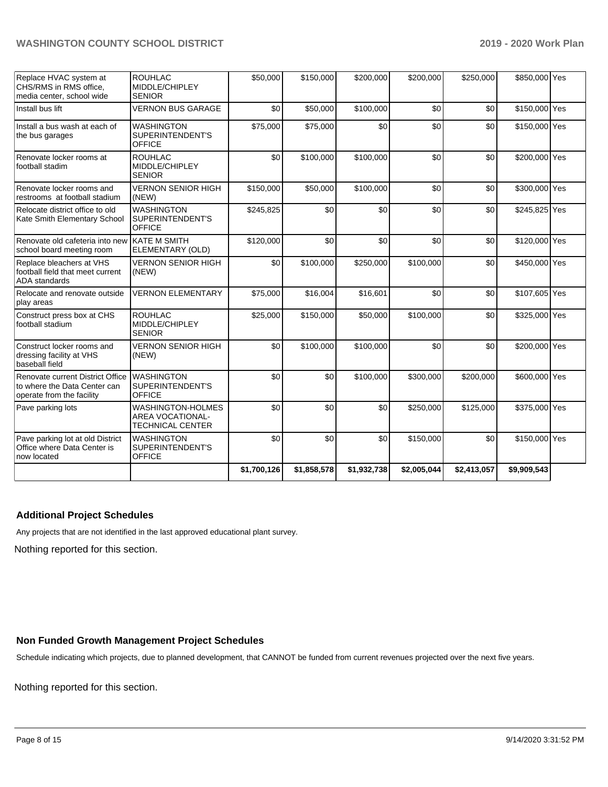| Replace HVAC system at<br>CHS/RMS in RMS office,<br>media center, school wide                 | <b>ROUHLAC</b><br>MIDDLE/CHIPLEY<br><b>SENIOR</b>                              | \$50,000    | \$150,000   | \$200,000   | \$200,000   | \$250,000   | \$850,000 Yes |  |
|-----------------------------------------------------------------------------------------------|--------------------------------------------------------------------------------|-------------|-------------|-------------|-------------|-------------|---------------|--|
| Install bus lift                                                                              | <b>VERNON BUS GARAGE</b>                                                       | \$0         | \$50,000    | \$100,000   | \$0         | \$0         | \$150,000 Yes |  |
| Install a bus wash at each of<br>the bus garages                                              | <b>WASHINGTON</b><br>SUPERINTENDENT'S<br><b>OFFICE</b>                         | \$75,000    | \$75,000    | \$0         | \$0         | \$0         | \$150,000 Yes |  |
| Renovate locker rooms at<br>football stadim                                                   | <b>ROUHLAC</b><br>MIDDLE/CHIPLEY<br><b>SENIOR</b>                              | \$0         | \$100,000   | \$100,000   | \$0         | \$0         | \$200,000 Yes |  |
| Renovate locker rooms and<br>restrooms at football stadium                                    | <b>VERNON SENIOR HIGH</b><br>(NEW)                                             | \$150,000   | \$50,000    | \$100,000   | \$0         | \$0         | \$300,000 Yes |  |
| Relocate district office to old<br>Kate Smith Elementary School                               | <b>WASHINGTON</b><br><b>SUPERINTENDENT'S</b><br><b>OFFICE</b>                  | \$245,825   | \$0         | \$0         | \$0         | \$0         | \$245,825 Yes |  |
| Renovate old cafeteria into new<br>school board meeting room                                  | <b>KATE M SMITH</b><br>ELEMENTARY (OLD)                                        | \$120,000   | \$0         | \$0         | \$0         | \$0         | \$120,000 Yes |  |
| Replace bleachers at VHS<br>football field that meet current<br><b>ADA</b> standards          | <b>VERNON SENIOR HIGH</b><br>(NEW)                                             | \$0         | \$100,000   | \$250,000   | \$100,000   | \$0         | \$450,000 Yes |  |
| Relocate and renovate outside<br>play areas                                                   | <b>VERNON ELEMENTARY</b>                                                       | \$75,000    | \$16,004    | \$16,601    | \$0         | \$0         | \$107,605 Yes |  |
| Construct press box at CHS<br>football stadium                                                | <b>ROUHLAC</b><br>MIDDLE/CHIPLEY<br><b>SENIOR</b>                              | \$25,000    | \$150,000   | \$50,000    | \$100,000   | \$0         | \$325,000 Yes |  |
| Construct locker rooms and<br>dressing facility at VHS<br>baseball field                      | <b>VERNON SENIOR HIGH</b><br>(NEW)                                             | \$0         | \$100,000   | \$100,000   | \$0         | \$0         | \$200,000 Yes |  |
| Renovate current District Office<br>to where the Data Center can<br>operate from the facility | <b>WASHINGTON</b><br>SUPERINTENDENT'S<br><b>OFFICE</b>                         | \$0         | \$0         | \$100,000   | \$300,000   | \$200,000   | \$600,000 Yes |  |
| Pave parking lots                                                                             | <b>WASHINGTON-HOLMES</b><br><b>AREA VOCATIONAL-</b><br><b>TECHNICAL CENTER</b> | \$0         | \$0         | \$0         | \$250,000   | \$125,000   | \$375,000 Yes |  |
| Pave parking lot at old District<br>Office where Data Center is<br>now located                | <b>WASHINGTON</b><br>SUPERINTENDENT'S<br><b>OFFICE</b>                         | \$0         | \$0         | \$0         | \$150,000   | \$0         | \$150,000 Yes |  |
|                                                                                               |                                                                                | \$1,700,126 | \$1,858,578 | \$1,932,738 | \$2,005,044 | \$2,413,057 | \$9,909,543   |  |

## **Additional Project Schedules**

Any projects that are not identified in the last approved educational plant survey.

Nothing reported for this section.

## **Non Funded Growth Management Project Schedules**

Schedule indicating which projects, due to planned development, that CANNOT be funded from current revenues projected over the next five years.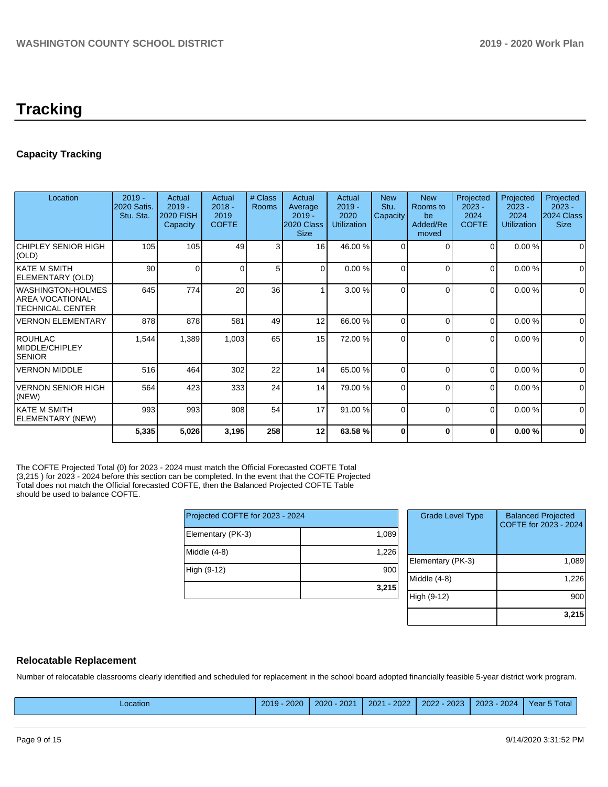## **Tracking**

## **Capacity Tracking**

| Location                                                         | $2019 -$<br>2020 Satis.<br>Stu. Sta. | Actual<br>$2019 -$<br><b>2020 FISH</b><br>Capacity | Actual<br>$2018 -$<br>2019<br><b>COFTE</b> | # Class<br><b>Rooms</b> | Actual<br>Average<br>$2019 -$<br>2020 Class<br><b>Size</b> | Actual<br>$2019 -$<br>2020<br><b>Utilization</b> | <b>New</b><br>Stu.<br>Capacity | <b>New</b><br>Rooms to<br>be<br>Added/Re<br>moved | Projected<br>$2023 -$<br>2024<br><b>COFTE</b> | Projected<br>$2023 -$<br>2024<br><b>Utilization</b> | Projected<br>$2023 -$<br>2024 Class<br><b>Size</b> |
|------------------------------------------------------------------|--------------------------------------|----------------------------------------------------|--------------------------------------------|-------------------------|------------------------------------------------------------|--------------------------------------------------|--------------------------------|---------------------------------------------------|-----------------------------------------------|-----------------------------------------------------|----------------------------------------------------|
| <b>CHIPLEY SENIOR HIGH</b><br>(OLD)                              | 105                                  | 105                                                | 49                                         | 3                       | 16 <sup>1</sup>                                            | 46.00 %                                          | $\Omega$                       | $\Omega$                                          | 0                                             | 0.00%                                               | 0                                                  |
| <b>KATE M SMITH</b><br>ELEMENTARY (OLD)                          | 90                                   | $\Omega$                                           |                                            | 5                       | $\Omega$                                                   | 0.00%                                            | <sup>0</sup>                   | $\Omega$                                          | 0                                             | 0.00%                                               | $\mathbf 0$                                        |
| WASHINGTON-HOLMES<br>AREA VOCATIONAL-<br><b>TECHNICAL CENTER</b> | 645                                  | 774                                                | 20                                         | 36                      |                                                            | 3.00 %                                           | 0                              | $\Omega$                                          | $\Omega$                                      | 0.00%                                               | $\mathbf 0$                                        |
| <b>VERNON ELEMENTARY</b>                                         | 878                                  | 878                                                | 581                                        | 49                      | 12                                                         | 66.00 %                                          | $\Omega$                       | $\Omega$                                          | $\Omega$                                      | 0.00%                                               | $\Omega$                                           |
| ROUHLAC<br>MIDDLE/CHIPLEY<br><b>SENIOR</b>                       | 1,544                                | 1,389                                              | 1,003                                      | 65                      | 15 <sup>1</sup>                                            | 72.00 %                                          | 0                              | $\Omega$                                          | $\Omega$                                      | 0.00%                                               | $\mathbf 0$                                        |
| <b>VERNON MIDDLE</b>                                             | 516                                  | 464                                                | 302                                        | 22                      | 14                                                         | 65.00 %                                          | $\Omega$                       | $\Omega$                                          | $\Omega$                                      | $0.00 \%$                                           | $\mathbf 0$                                        |
| <b>VERNON SENIOR HIGH</b><br>(NEW)                               | 564                                  | 423                                                | 333                                        | 24                      | 14                                                         | 79.00 %                                          | $\Omega$                       | $\Omega$                                          | $\Omega$                                      | 0.00%                                               | $\mathbf 0$                                        |
| <b>KATE M SMITH</b><br>ELEMENTARY (NEW)                          | 993                                  | 993                                                | 908                                        | 54                      | 17                                                         | 91.00%                                           | 0                              | $\Omega$                                          | $\Omega$                                      | 0.00%                                               | $\mathbf 0$                                        |
|                                                                  | 5,335                                | 5,026                                              | 3,195                                      | 258                     | 12                                                         | 63.58 %                                          | 0                              | 0                                                 | $\bf{0}$                                      | 0.00%                                               | 0                                                  |

The COFTE Projected Total (0) for 2023 - 2024 must match the Official Forecasted COFTE Total (3,215 ) for 2023 - 2024 before this section can be completed. In the event that the COFTE Projected Total does not match the Official forecasted COFTE, then the Balanced Projected COFTE Table should be used to balance COFTE.

|                                 | 3,215 |
|---------------------------------|-------|
| High (9-12)                     | 900   |
| Middle (4-8)                    | 1,226 |
| Elementary (PK-3)               | 1,089 |
| Projected COFTE for 2023 - 2024 |       |

| <b>Grade Level Type</b> | <b>Balanced Projected</b><br>COFTE for 2023 - 2024 |
|-------------------------|----------------------------------------------------|
| Elementary (PK-3)       | 1,089                                              |
| Middle $(4-8)$          | 1,226                                              |
| High (9-12)             | 900                                                |
|                         | 3,215                                              |

## **Relocatable Replacement**

Number of relocatable classrooms clearly identified and scheduled for replacement in the school board adopted financially feasible 5-year district work program.

|--|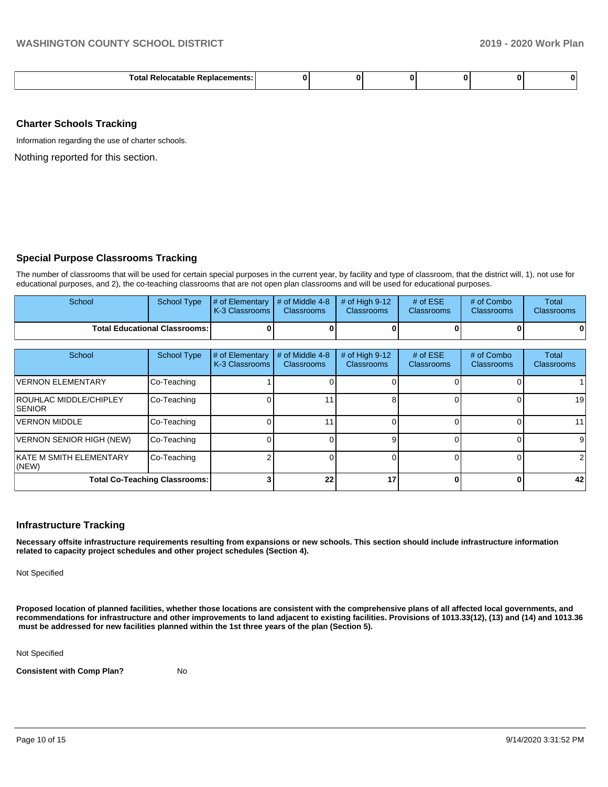| aranı.<br>--<br>.<br>anen<br>. . |  |  |  |  |  |  |
|----------------------------------|--|--|--|--|--|--|
|----------------------------------|--|--|--|--|--|--|

#### **Charter Schools Tracking**

Information regarding the use of charter schools.

Nothing reported for this section.

## **Special Purpose Classrooms Tracking**

The number of classrooms that will be used for certain special purposes in the current year, by facility and type of classroom, that the district will, 1), not use for educational purposes, and 2), the co-teaching classrooms that are not open plan classrooms and will be used for educational purposes.

| School | School Type                            | $\parallel$ # of Elementary $\parallel$ # of Middle 4-8 $\parallel$ # of High 9-12<br>K-3 Classrooms I | <b>Classrooms</b> | <b>Classrooms</b> | # of $ESE$<br><b>Classrooms</b> | # of Combo<br><b>Classrooms</b> | Total<br><b>Classrooms</b> |
|--------|----------------------------------------|--------------------------------------------------------------------------------------------------------|-------------------|-------------------|---------------------------------|---------------------------------|----------------------------|
|        | <b>Total Educational Classrooms: I</b> |                                                                                                        |                   |                   |                                 |                                 |                            |

| School                                          | <b>School Type</b> | # of Elementary<br>K-3 Classrooms | # of Middle 4-8<br><b>Classrooms</b> | # of High $9-12$<br>Classrooms | # of $ESE$<br><b>Classrooms</b> | # of Combo<br><b>Classrooms</b> | Total<br><b>Classrooms</b> |
|-------------------------------------------------|--------------------|-----------------------------------|--------------------------------------|--------------------------------|---------------------------------|---------------------------------|----------------------------|
| <b>VERNON ELEMENTARY</b>                        | Co-Teaching        |                                   |                                      |                                |                                 |                                 |                            |
| <b>ROUHLAC MIDDLE/CHIPLEY</b><br><b>ISENIOR</b> | Co-Teaching        |                                   |                                      |                                |                                 |                                 | 19                         |
| <b>VERNON MIDDLE</b>                            | Co-Teaching        |                                   |                                      |                                |                                 |                                 | 11                         |
| <b>VERNON SENIOR HIGH (NEW)</b>                 | Co-Teaching        |                                   |                                      |                                |                                 |                                 | 9                          |
| <b>IKATE M SMITH ELEMENTARY</b><br>$ $ (NEW)    | Co-Teaching        |                                   |                                      |                                |                                 |                                 | 2                          |
| <b>Total Co-Teaching Classrooms:</b>            |                    |                                   | 22                                   | 17                             |                                 |                                 | 42                         |

#### **Infrastructure Tracking**

**Necessary offsite infrastructure requirements resulting from expansions or new schools. This section should include infrastructure information related to capacity project schedules and other project schedules (Section 4).** 

Not Specified

**Proposed location of planned facilities, whether those locations are consistent with the comprehensive plans of all affected local governments, and recommendations for infrastructure and other improvements to land adjacent to existing facilities. Provisions of 1013.33(12), (13) and (14) and 1013.36 must be addressed for new facilities planned within the 1st three years of the plan (Section 5).** 

Not Specified

**Consistent with Comp Plan?** No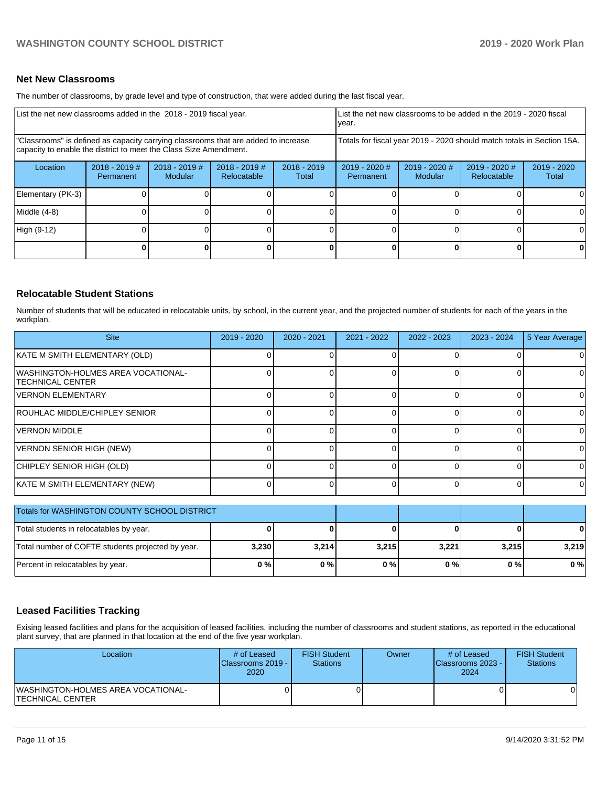## **Net New Classrooms**

The number of classrooms, by grade level and type of construction, that were added during the last fiscal year.

| List the net new classrooms added in the 2018 - 2019 fiscal year.                                                                                       |                              |                                   |                                |                                                                        | List the net new classrooms to be added in the 2019 - 2020 fiscal<br>year. |                          |                              |                      |
|---------------------------------------------------------------------------------------------------------------------------------------------------------|------------------------------|-----------------------------------|--------------------------------|------------------------------------------------------------------------|----------------------------------------------------------------------------|--------------------------|------------------------------|----------------------|
| "Classrooms" is defined as capacity carrying classrooms that are added to increase<br>capacity to enable the district to meet the Class Size Amendment. |                              |                                   |                                | Totals for fiscal year 2019 - 2020 should match totals in Section 15A. |                                                                            |                          |                              |                      |
| Location                                                                                                                                                | $2018 - 2019$ #<br>Permanent | $2018 - 2019$ #<br><b>Modular</b> | $2018 - 2019$ #<br>Relocatable | $2018 - 2019$<br>Total                                                 | 2019 - 2020 #<br>Permanent                                                 | 2019 - 2020 #<br>Modular | 2019 - 2020 #<br>Relocatable | 2019 - 2020<br>Total |
| Elementary (PK-3)                                                                                                                                       |                              |                                   |                                |                                                                        |                                                                            |                          |                              |                      |
| Middle (4-8)                                                                                                                                            |                              |                                   |                                |                                                                        |                                                                            |                          |                              |                      |
| High (9-12)                                                                                                                                             |                              |                                   |                                |                                                                        |                                                                            |                          |                              |                      |
|                                                                                                                                                         |                              |                                   |                                |                                                                        |                                                                            |                          | 0                            | 0                    |

## **Relocatable Student Stations**

Number of students that will be educated in relocatable units, by school, in the current year, and the projected number of students for each of the years in the workplan.

| <b>Site</b>                                                   | 2019 - 2020 | $2020 - 2021$ | 2021 - 2022 | 2022 - 2023 | 2023 - 2024 | 5 Year Average |
|---------------------------------------------------------------|-------------|---------------|-------------|-------------|-------------|----------------|
| KATE M SMITH ELEMENTARY (OLD)                                 |             |               | ი           |             |             | 0              |
| WASHINGTON-HOLMES AREA VOCATIONAL-<br><b>TECHNICAL CENTER</b> |             |               | 0           |             |             | 0              |
| <b>VERNON ELEMENTARY</b>                                      |             |               | 0           | ∩           | 0           | 0              |
| ROUHLAC MIDDLE/CHIPLEY SENIOR                                 |             |               | 0           | ∩           | 0           | 0              |
| <b>VERNON MIDDLE</b>                                          |             |               | 0           |             | 0           | $\Omega$       |
| VERNON SENIOR HIGH (NEW)                                      |             |               | 0           |             | 0           | $\Omega$       |
| CHIPLEY SENIOR HIGH (OLD)                                     |             |               | 0           |             |             | 0              |
| KATE M SMITH ELEMENTARY (NEW)                                 |             |               | 0           |             | 0           | $\Omega$       |
| Totals for WASHINGTON COUNTY SCHOOL DISTRICT                  |             |               |             |             |             |                |
| Total students in relocatables by year.                       |             |               | Λ           |             |             | 0              |
| Total number of COFTE students projected by year.             | 3,230       | 3,214         | 3,215       | 3,221       | 3,215       | 3,219          |

## **Leased Facilities Tracking**

Exising leased facilities and plans for the acquisition of leased facilities, including the number of classrooms and student stations, as reported in the educational plant survey, that are planned in that location at the end of the five year workplan.

Percent in relocatables by year. **0 % 0 % 0 % 0 % 0 % 0 %**

| Location                                                | # of Leased<br><b>Classrooms 2019 - I</b><br>2020 | <b>FISH Student</b><br><b>Stations</b> | Owner | # of Leased<br>Classrooms 2023 - I<br>2024 | <b>FISH Student</b><br><b>Stations</b> |
|---------------------------------------------------------|---------------------------------------------------|----------------------------------------|-------|--------------------------------------------|----------------------------------------|
| WASHINGTON-HOLMES AREA VOCATIONAL-<br>ITECHNICAL CENTER |                                                   |                                        |       |                                            |                                        |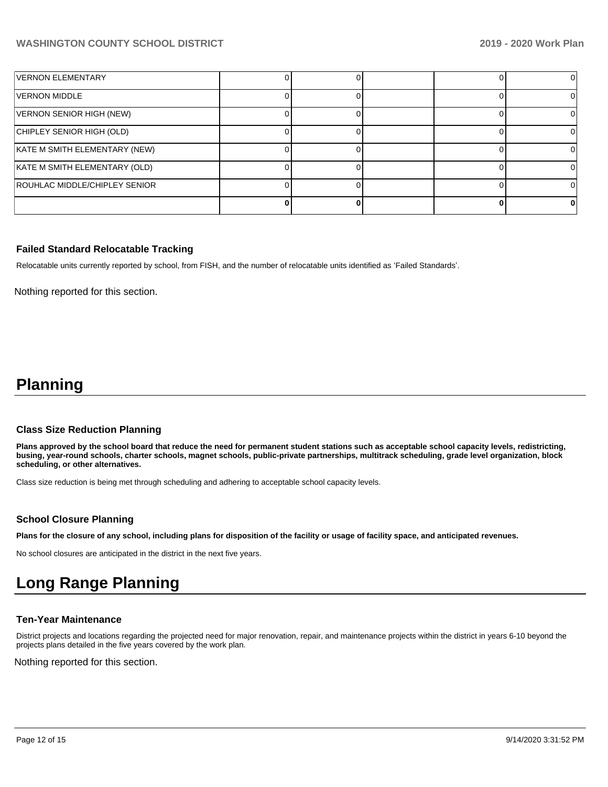| <b>VERNON ELEMENTARY</b>      |  |  |  |
|-------------------------------|--|--|--|
| VERNON MIDDLE                 |  |  |  |
| VERNON SENIOR HIGH (NEW)      |  |  |  |
| CHIPLEY SENIOR HIGH (OLD)     |  |  |  |
| KATE M SMITH ELEMENTARY (NEW) |  |  |  |
| KATE M SMITH ELEMENTARY (OLD) |  |  |  |
| ROUHLAC MIDDLE/CHIPLEY SENIOR |  |  |  |
|                               |  |  |  |

## **Failed Standard Relocatable Tracking**

Relocatable units currently reported by school, from FISH, and the number of relocatable units identified as 'Failed Standards'.

Nothing reported for this section.

## **Planning**

#### **Class Size Reduction Planning**

**Plans approved by the school board that reduce the need for permanent student stations such as acceptable school capacity levels, redistricting, busing, year-round schools, charter schools, magnet schools, public-private partnerships, multitrack scheduling, grade level organization, block scheduling, or other alternatives.**

Class size reduction is being met through scheduling and adhering to acceptable school capacity levels.

## **School Closure Planning**

**Plans for the closure of any school, including plans for disposition of the facility or usage of facility space, and anticipated revenues.** 

No school closures are anticipated in the district in the next five years.

## **Long Range Planning**

## **Ten-Year Maintenance**

District projects and locations regarding the projected need for major renovation, repair, and maintenance projects within the district in years 6-10 beyond the projects plans detailed in the five years covered by the work plan.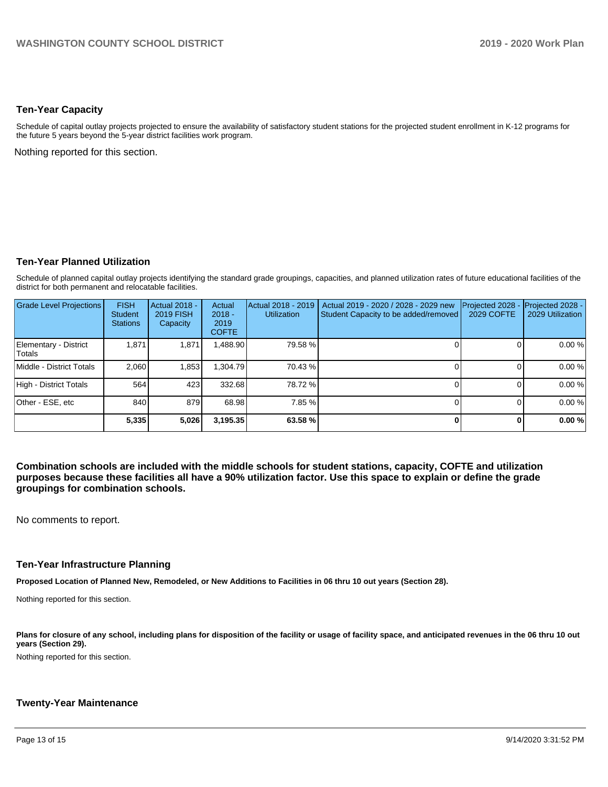## **Ten-Year Capacity**

Schedule of capital outlay projects projected to ensure the availability of satisfactory student stations for the projected student enrollment in K-12 programs for the future 5 years beyond the 5-year district facilities work program.

Nothing reported for this section.

#### **Ten-Year Planned Utilization**

Schedule of planned capital outlay projects identifying the standard grade groupings, capacities, and planned utilization rates of future educational facilities of the district for both permanent and relocatable facilities.

| Grade Level Projections         | <b>FISH</b><br><b>Student</b><br><b>Stations</b> | <b>Actual 2018 -</b><br><b>2019 FISH</b><br>Capacity | Actual<br>$2018 -$<br>2019<br><b>COFTE</b> | Actual 2018 - 2019<br><b>Utilization</b> | Actual 2019 - 2020 / 2028 - 2029 new<br>Student Capacity to be added/removed | Projected 2028<br>2029 COFTE | Projected 2028 -<br>2029 Utilization |
|---------------------------------|--------------------------------------------------|------------------------------------------------------|--------------------------------------------|------------------------------------------|------------------------------------------------------------------------------|------------------------------|--------------------------------------|
| Elementary - District<br>Totals | 1,871                                            | 1,871                                                | ,488.90                                    | 79.58 %                                  |                                                                              |                              | 0.00 %                               |
| Middle - District Totals        | 2.060                                            | 1,853                                                | .304.79                                    | 70.43 %                                  |                                                                              |                              | 0.00%                                |
| High - District Totals          | 564                                              | 423                                                  | 332.68                                     | 78.72 %                                  |                                                                              |                              | 0.00 %                               |
| Other - ESE, etc                | 840                                              | 879                                                  | 68.98                                      | 7.85 %                                   |                                                                              |                              | 0.00%                                |
|                                 | 5,335                                            | 5,026                                                | 3,195.35                                   | 63.58 %                                  |                                                                              |                              | 0.00%                                |

**Combination schools are included with the middle schools for student stations, capacity, COFTE and utilization purposes because these facilities all have a 90% utilization factor. Use this space to explain or define the grade groupings for combination schools.** 

No comments to report.

#### **Ten-Year Infrastructure Planning**

**Proposed Location of Planned New, Remodeled, or New Additions to Facilities in 06 thru 10 out years (Section 28).**

Nothing reported for this section.

Plans for closure of any school, including plans for disposition of the facility or usage of facility space, and anticipated revenues in the 06 thru 10 out **years (Section 29).**

Nothing reported for this section.

## **Twenty-Year Maintenance**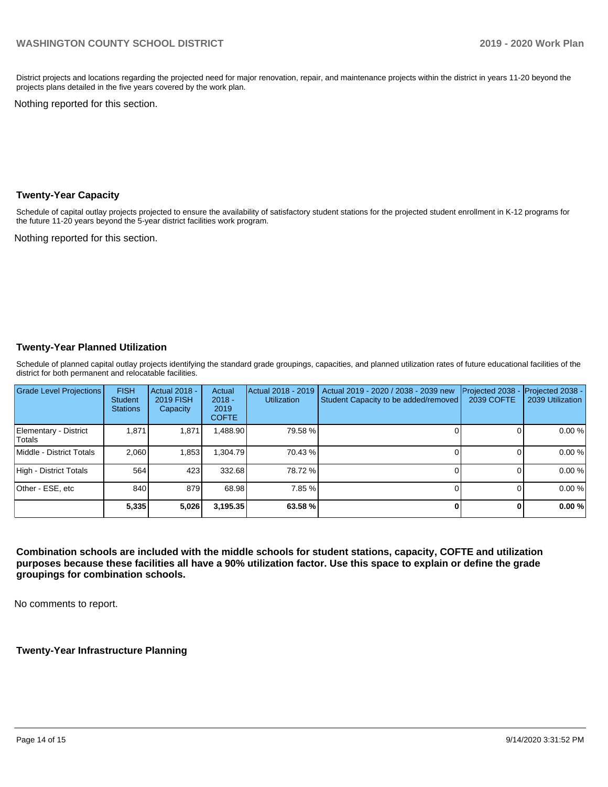District projects and locations regarding the projected need for major renovation, repair, and maintenance projects within the district in years 11-20 beyond the projects plans detailed in the five years covered by the work plan.

Nothing reported for this section.

#### **Twenty-Year Capacity**

Schedule of capital outlay projects projected to ensure the availability of satisfactory student stations for the projected student enrollment in K-12 programs for the future 11-20 years beyond the 5-year district facilities work program.

Nothing reported for this section.

## **Twenty-Year Planned Utilization**

Schedule of planned capital outlay projects identifying the standard grade groupings, capacities, and planned utilization rates of future educational facilities of the district for both permanent and relocatable facilities.

| <b>Grade Level Projections</b>  | <b>FISH</b><br><b>Student</b><br><b>Stations</b> | Actual 2018 -<br><b>2019 FISH</b><br>Capacity | Actual<br>$2018 -$<br>2019<br><b>COFTE</b> | Actual 2018 - 2019<br><b>Utilization</b> | Actual 2019 - 2020 / 2038 - 2039 new<br>Student Capacity to be added/removed | Projected 2038<br><b>2039 COFTE</b> | Projected 2038 -<br>2039 Utilization |
|---------------------------------|--------------------------------------------------|-----------------------------------------------|--------------------------------------------|------------------------------------------|------------------------------------------------------------------------------|-------------------------------------|--------------------------------------|
| Elementary - District<br>Totals | 1.871                                            | 1,871                                         | ,488.90                                    | 79.58 %                                  |                                                                              |                                     | 0.00%                                |
| Middle - District Totals        | 2.060                                            | 1,853                                         | .304.79                                    | 70.43 %                                  |                                                                              |                                     | 0.00%                                |
| High - District Totals          | 564                                              | 423                                           | 332.68                                     | 78.72 %                                  |                                                                              |                                     | 0.00%                                |
| Other - ESE, etc                | 840                                              | 879                                           | 68.98                                      | 7.85 %                                   |                                                                              |                                     | 0.00%                                |
|                                 | 5,335                                            | 5,026                                         | 3,195.35                                   | 63.58 %                                  |                                                                              |                                     | 0.00%                                |

**Combination schools are included with the middle schools for student stations, capacity, COFTE and utilization purposes because these facilities all have a 90% utilization factor. Use this space to explain or define the grade groupings for combination schools.** 

No comments to report.

**Twenty-Year Infrastructure Planning**